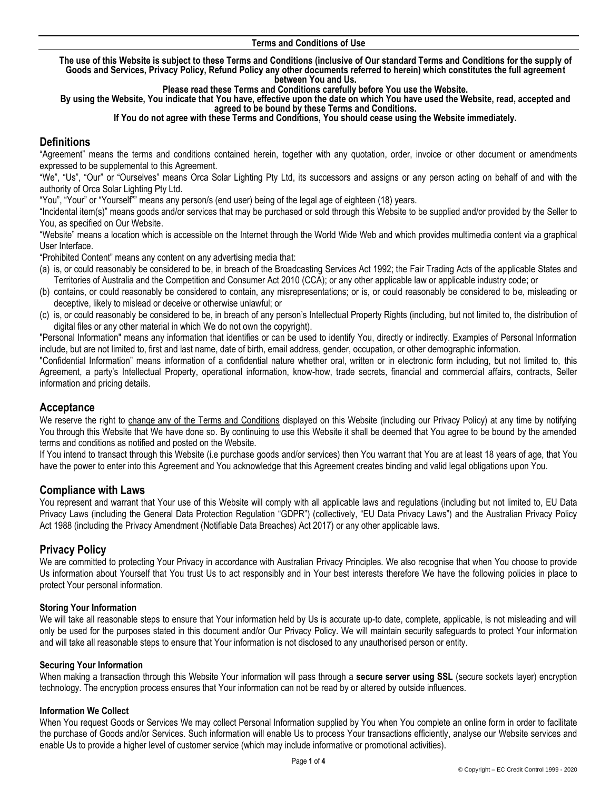#### **Terms and Conditions of Use**

**The use of this Website is subject to these Terms and Conditions (inclusive of Our standard Terms and Conditions for the supply of Goods and Services, Privacy Policy, Refund Policy any other documents referred to herein) which constitutes the full agreement between You and Us.** 

**Please read these Terms and Conditions carefully before You use the Website.** 

**By using the Website, You indicate that You have, effective upon the date on which You have used the Website, read, accepted and agreed to be bound by these Terms and Conditions.**

#### **If You do not agree with these Terms and Conditions, You should cease using the Website immediately.**

# **Definitions**

"Agreement" means the terms and conditions contained herein, together with any quotation, order, invoice or other document or amendments expressed to be supplemental to this Agreement.

"We", "Us", "Our" or "Ourselves" means Orca Solar Lighting Pty Ltd, its successors and assigns or any person acting on behalf of and with the authority of Orca Solar Lighting Pty Ltd.

"You", "Your" or "Yourself"" means any person/s (end user) being of the legal age of eighteen (18) years.

"Incidental item(s)" means goods and/or services that may be purchased or sold through this Website to be supplied and/or provided by the Seller to You, as specified on Our Website.

"Website" means a location which is accessible on the Internet through the World Wide Web and which provides multimedia content via a graphical User Interface.

"Prohibited Content" means any content on any advertising media that:

- (a) is, or could reasonably be considered to be, in breach of the Broadcasting Services Act 1992; the Fair Trading Acts of the applicable States and Territories of Australia and the Competition and Consumer Act 2010 (CCA); or any other applicable law or applicable industry code; or
- (b) contains, or could reasonably be considered to contain, any misrepresentations; or is, or could reasonably be considered to be, misleading or deceptive, likely to mislead or deceive or otherwise unlawful; or
- (c) is, or could reasonably be considered to be, in breach of any person's Intellectual Property Rights (including, but not limited to, the distribution of digital files or any other material in which We do not own the copyright).

"Personal Information" means any information that identifies or can be used to identify You, directly or indirectly. Examples of Personal Information include, but are not limited to, first and last name, date of birth, email address, gender, occupation, or other demographic information.

"Confidential Information" means information of a confidential nature whether oral, written or in electronic form including, but not limited to, this Agreement, a party's Intellectual Property, operational information, know-how, trade secrets, financial and commercial affairs, contracts, Seller information and pricing details.

# **Acceptance**

We reserve the right to change any of the Terms and Conditions displayed on this Website (including our Privacy Policy) at any time by notifying You through this Website that We have done so. By continuing to use this Website it shall be deemed that You agree to be bound by the amended terms and conditions as notified and posted on the Website.

If You intend to transact through this Website (i.e purchase goods and/or services) then You warrant that You are at least 18 years of age, that You have the power to enter into this Agreement and You acknowledge that this Agreement creates binding and valid legal obligations upon You.

# **Compliance with Laws**

You represent and warrant that Your use of this Website will comply with all applicable laws and regulations (including but not limited to, EU Data Privacy Laws (including the General Data Protection Regulation "GDPR") (collectively, "EU Data Privacy Laws") and the Australian Privacy Policy Act 1988 (including the Privacy Amendment (Notifiable Data Breaches) Act 2017) or any other applicable laws.

# **Privacy Policy**

We are committed to protecting Your Privacy in accordance with Australian Privacy Principles. We also recognise that when You choose to provide Us information about Yourself that You trust Us to act responsibly and in Your best interests therefore We have the following policies in place to protect Your personal information.

### **Storing Your Information**

We will take all reasonable steps to ensure that Your information held by Us is accurate up-to date, complete, applicable, is not misleading and will only be used for the purposes stated in this document and/or Our Privacy Policy. We will maintain security safeguards to protect Your information and will take all reasonable steps to ensure that Your information is not disclosed to any unauthorised person or entity.

### **Securing Your Information**

When making a transaction through this Website Your information will pass through a **secure server using SSL** (secure sockets layer) encryption technology. The encryption process ensures that Your information can not be read by or altered by outside influences.

### **Information We Collect**

When You request Goods or Services We may collect Personal Information supplied by You when You complete an online form in order to facilitate the purchase of Goods and/or Services. Such information will enable Us to process Your transactions efficiently, analyse our Website services and enable Us to provide a higher level of customer service (which may include informative or promotional activities).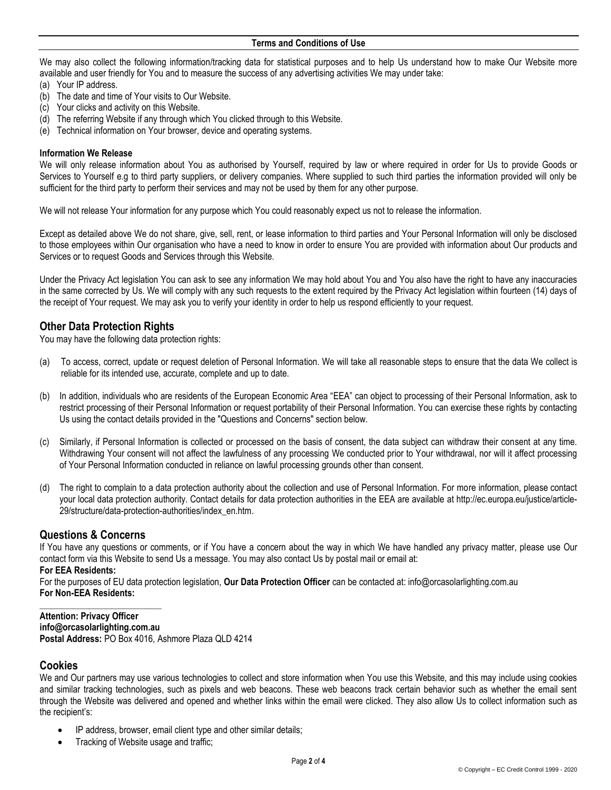We may also collect the following information/tracking data for statistical purposes and to help Us understand how to make Our Website more available and user friendly for You and to measure the success of any advertising activities We may under take:

- (a) Your IP address.
- (b) The date and time of Your visits to Our Website.
- (c) Your clicks and activity on this Website.
- (d) The referring Website if any through which You clicked through to this Website.
- (e) Technical information on Your browser, device and operating systems.

### **Information We Release**

We will only release information about You as authorised by Yourself, required by law or where required in order for Us to provide Goods or Services to Yourself e.g to third party suppliers, or delivery companies. Where supplied to such third parties the information provided will only be sufficient for the third party to perform their services and may not be used by them for any other purpose.

We will not release Your information for any purpose which You could reasonably expect us not to release the information.

Except as detailed above We do not share, give, sell, rent, or lease information to third parties and Your Personal Information will only be disclosed to those employees within Our organisation who have a need to know in order to ensure You are provided with information about Our products and Services or to request Goods and Services through this Website.

Under the Privacy Act legislation You can ask to see any information We may hold about You and You also have the right to have any inaccuracies in the same corrected by Us. We will comply with any such requests to the extent required by the Privacy Act legislation within fourteen (14) days of the receipt of Your request. We may ask you to verify your identity in order to help us respond efficiently to your request.

# **Other Data Protection Rights**

You may have the following data protection rights:

- (a) To access, correct, update or request deletion of Personal Information. We will take all reasonable steps to ensure that the data We collect is reliable for its intended use, accurate, complete and up to date.
- (b) In addition, individuals who are residents of the European Economic Area "EEA" can object to processing of their Personal Information, ask to restrict processing of their Personal Information or request portability of their Personal Information. You can exercise these rights by contacting Us using the contact details provided in the "Questions and Concerns" section below.
- (c) Similarly, if Personal Information is collected or processed on the basis of consent, the data subject can withdraw their consent at any time. Withdrawing Your consent will not affect the lawfulness of any processing We conducted prior to Your withdrawal, nor will it affect processing of Your Personal Information conducted in reliance on lawful processing grounds other than consent.
- (d) The right to complain to a data protection authority about the collection and use of Personal Information. For more information, please contact your local data protection authority. Contact details for data protection authorities in the EEA are available at http://ec.europa.eu/justice/article-29/structure/data-protection-authorities/index\_en.htm.

# **Questions & Concerns**

**\_\_\_\_\_\_\_\_\_\_\_\_\_\_\_\_\_\_\_\_\_\_**

If You have any questions or comments, or if You have a concern about the way in which We have handled any privacy matter, please use Our [contact form](https://mailchimp.com/contact/) via this Website to send Us a message. You may also contact Us by postal mail or email at:

## **For EEA Residents:**

For the purposes of EU data protection legislation, **Our Data Protection Officer** can be contacted at: info@orcasolarlighting.com.au **For Non-EEA Residents:**

**Attention: Privacy Officer info@orcasolarlighting.com.au Postal Address:** PO Box 4016, Ashmore Plaza QLD 4214

# **Cookies**

We and Our partners may use various technologies to collect and store information when You use this Website, and this may include using cookies and similar tracking technologies, such as pixels and web beacons. These web beacons track certain behavior such as whether the email sent through the Website was delivered and opened and whether links within the email were clicked. They also allow Us to collect information such as the recipient's:

- IP address, browser, email client type and other similar details;
- Tracking of Website usage and traffic;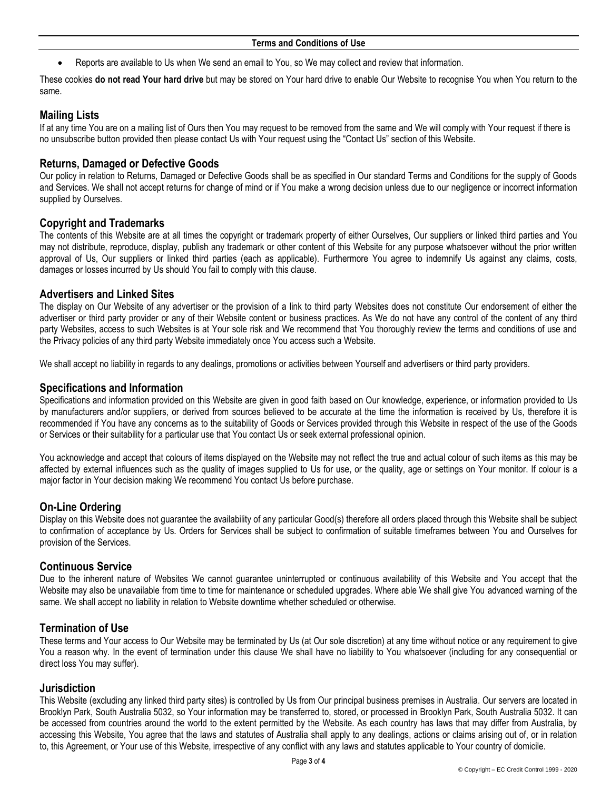• Reports are available to Us when We send an email to You, so We may collect and review that information.

These cookies **do not read Your hard drive** but may be stored on Your hard drive to enable Our Website to recognise You when You return to the same.

# **Mailing Lists**

If at any time You are on a mailing list of Ours then You may request to be removed from the same and We will comply with Your request if there is no unsubscribe button provided then please contact Us with Your request using the "Contact Us" section of this Website.

# **Returns, Damaged or Defective Goods**

Our policy in relation to Returns, Damaged or Defective Goods shall be as specified in Our standard Terms and Conditions for the supply of Goods and Services. We shall not accept returns for change of mind or if You make a wrong decision unless due to our negligence or incorrect information supplied by Ourselves.

# **Copyright and Trademarks**

The contents of this Website are at all times the copyright or trademark property of either Ourselves, Our suppliers or linked third parties and You may not distribute, reproduce, display, publish any trademark or other content of this Website for any purpose whatsoever without the prior written approval of Us, Our suppliers or linked third parties (each as applicable). Furthermore You agree to indemnify Us against any claims, costs, damages or losses incurred by Us should You fail to comply with this clause.

## **Advertisers and Linked Sites**

The display on Our Website of any advertiser or the provision of a link to third party Websites does not constitute Our endorsement of either the advertiser or third party provider or any of their Website content or business practices. As We do not have any control of the content of any third party Websites, access to such Websites is at Your sole risk and We recommend that You thoroughly review the terms and conditions of use and the Privacy policies of any third party Website immediately once You access such a Website.

We shall accept no liability in regards to any dealings, promotions or activities between Yourself and advertisers or third party providers.

## **Specifications and Information**

Specifications and information provided on this Website are given in good faith based on Our knowledge, experience, or information provided to Us by manufacturers and/or suppliers, or derived from sources believed to be accurate at the time the information is received by Us, therefore it is recommended if You have any concerns as to the suitability of Goods or Services provided through this Website in respect of the use of the Goods or Services or their suitability for a particular use that You contact Us or seek external professional opinion.

You acknowledge and accept that colours of items displayed on the Website may not reflect the true and actual colour of such items as this may be affected by external influences such as the quality of images supplied to Us for use, or the quality, age or settings on Your monitor. If colour is a major factor in Your decision making We recommend You contact Us before purchase.

# **On-Line Ordering**

Display on this Website does not guarantee the availability of any particular Good(s) therefore all orders placed through this Website shall be subject to confirmation of acceptance by Us. Orders for Services shall be subject to confirmation of suitable timeframes between You and Ourselves for provision of the Services.

# **Continuous Service**

Due to the inherent nature of Websites We cannot guarantee uninterrupted or continuous availability of this Website and You accept that the Website may also be unavailable from time to time for maintenance or scheduled upgrades. Where able We shall give You advanced warning of the same. We shall accept no liability in relation to Website downtime whether scheduled or otherwise.

# **Termination of Use**

These terms and Your access to Our Website may be terminated by Us (at Our sole discretion) at any time without notice or any requirement to give You a reason why. In the event of termination under this clause We shall have no liability to You whatsoever (including for any consequential or direct loss You may suffer).

### **Jurisdiction**

This Website (excluding any linked third party sites) is controlled by Us from Our principal business premises in Australia. Our servers are located in Brooklyn Park, South Australia 5032, so Your information may be transferred to, stored, or processed in Brooklyn Park, South Australia 5032. It can be accessed from countries around the world to the extent permitted by the Website. As each country has laws that may differ from Australia, by accessing this Website, You agree that the laws and statutes of Australia shall apply to any dealings, actions or claims arising out of, or in relation to, this Agreement, or Your use of this Website, irrespective of any conflict with any laws and statutes applicable to Your country of domicile.